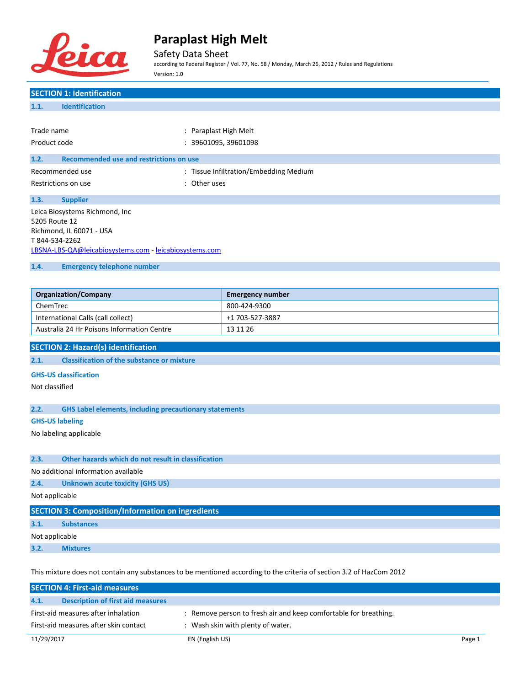

Safety Data Sheet

according to Federal Register / Vol. 77, No. 58 / Monday, March 26, 2012 / Rules and Regulations Version: 1.0

## **SECTION 1: Identification 1.1. Identification** Trade name  $\qquad \qquad :$  Paraplast High Melt Product code : 39601095, 39601098 **1.2. Recommended use and restrictions on use** Recommended use **Manual Exception Commended** use : Tissue Infiltration/Embedding Medium Restrictions on use the set of the set of the set of the set of the set of the set of the set of the set of the set of the set of the set of the set of the set of the set of the set of the set of the set of the set of the **1.3. Supplier** Leica Biosystems Richmond, Inc 5205 Route 12 Richmond, IL 60071 - USA T 844-534-2262 [LBSNA-LBS-QA@leicabiosystems.com](mailto:LBSNA-LBS-QA@leicabiosystems.com) - <leicabiosystems.com> **1.4. Emergency telephone number Organization/Company Emergency number** ChemTrec 800-424-9300 International Calls (call collect) +1 703-527-3887 Australia 24 Hr Poisons Information Centre 13 11 26 **SECTION 2: Hazard(s) identification 2.1. Classification of the substance or mixture GHS-US classification** Not classified **2.2. GHS Label elements, including precautionary statements GHS-US labeling** No labeling applicable **2.3. Other hazards which do not result in classification** No additional information available **2.4. Unknown acute toxicity (GHS US)** Not applicable **SECTION 3: Composition/Information on ingredients 3.1. Substances**

Not applicable

**3.2. Mixtures**

This mixture does not contain any substances to be mentioned according to the criteria of section 3.2 of HazCom 2012

|                                       | <b>SECTION 4: First-aid measures</b>     |                                                                  |        |
|---------------------------------------|------------------------------------------|------------------------------------------------------------------|--------|
| 4.1.                                  | <b>Description of first aid measures</b> |                                                                  |        |
| First-aid measures after inhalation   |                                          | : Remove person to fresh air and keep comfortable for breathing. |        |
| First-aid measures after skin contact |                                          | : Wash skin with plenty of water.                                |        |
| 11/29/2017                            |                                          | EN (English US)                                                  | Page 1 |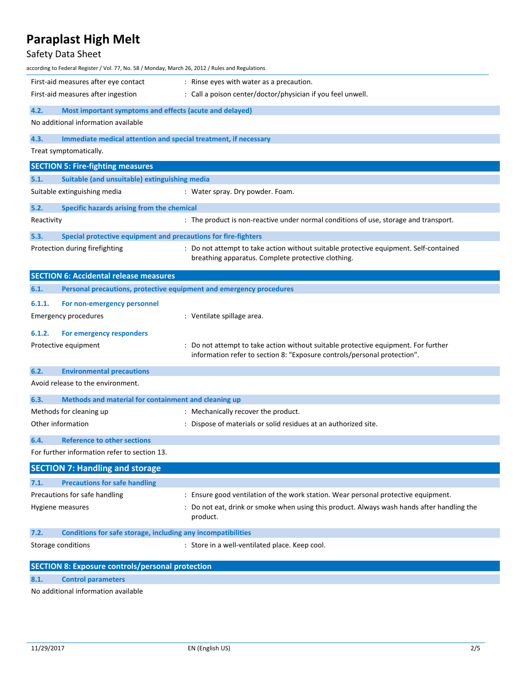## Safety Data Sheet

| according to Federal Register / Vol. 77, No. 58 / Monday, March 26, 2012 / Rules and Regulations |                                                                                                                                                                |  |
|--------------------------------------------------------------------------------------------------|----------------------------------------------------------------------------------------------------------------------------------------------------------------|--|
| First-aid measures after eye contact                                                             | : Rinse eyes with water as a precaution.                                                                                                                       |  |
| First-aid measures after ingestion                                                               | : Call a poison center/doctor/physician if you feel unwell.                                                                                                    |  |
| 4.2.<br>Most important symptoms and effects (acute and delayed)                                  |                                                                                                                                                                |  |
| No additional information available                                                              |                                                                                                                                                                |  |
| 4.3.<br>Immediate medical attention and special treatment, if necessary                          |                                                                                                                                                                |  |
| Treat symptomatically.                                                                           |                                                                                                                                                                |  |
| <b>SECTION 5: Fire-fighting measures</b>                                                         |                                                                                                                                                                |  |
| 5.1.<br>Suitable (and unsuitable) extinguishing media                                            |                                                                                                                                                                |  |
| Suitable extinguishing media                                                                     | : Water spray. Dry powder. Foam.                                                                                                                               |  |
| 5.2.<br>Specific hazards arising from the chemical                                               |                                                                                                                                                                |  |
| Reactivity                                                                                       | : The product is non-reactive under normal conditions of use, storage and transport.                                                                           |  |
| Special protective equipment and precautions for fire-fighters<br>5.3.                           |                                                                                                                                                                |  |
| Protection during firefighting                                                                   | : Do not attempt to take action without suitable protective equipment. Self-contained<br>breathing apparatus. Complete protective clothing.                    |  |
| <b>SECTION 6: Accidental release measures</b>                                                    |                                                                                                                                                                |  |
| 6.1.                                                                                             | Personal precautions, protective equipment and emergency procedures                                                                                            |  |
| 6.1.1.<br>For non-emergency personnel                                                            |                                                                                                                                                                |  |
| <b>Emergency procedures</b>                                                                      | : Ventilate spillage area.                                                                                                                                     |  |
| 6.1.2.<br>For emergency responders                                                               |                                                                                                                                                                |  |
| Protective equipment                                                                             | : Do not attempt to take action without suitable protective equipment. For further<br>information refer to section 8: "Exposure controls/personal protection". |  |
| 6.2.<br><b>Environmental precautions</b>                                                         |                                                                                                                                                                |  |
| Avoid release to the environment.                                                                |                                                                                                                                                                |  |
| 6.3.<br>Methods and material for containment and cleaning up                                     |                                                                                                                                                                |  |
| Methods for cleaning up                                                                          | : Mechanically recover the product.                                                                                                                            |  |
| Other information                                                                                | : Dispose of materials or solid residues at an authorized site.                                                                                                |  |
| <b>Reference to other sections</b><br>6.4.                                                       |                                                                                                                                                                |  |
| For further information refer to section 13.                                                     |                                                                                                                                                                |  |
| <b>SECTION 7: Handling and storage</b>                                                           |                                                                                                                                                                |  |
| <b>Precautions for safe handling</b><br>7.1.                                                     |                                                                                                                                                                |  |
| Precautions for safe handling                                                                    | : Ensure good ventilation of the work station. Wear personal protective equipment.                                                                             |  |
| Hygiene measures                                                                                 | : Do not eat, drink or smoke when using this product. Always wash hands after handling the<br>product.                                                         |  |
| Conditions for safe storage, including any incompatibilities<br>7.2.                             |                                                                                                                                                                |  |
| Storage conditions                                                                               | : Store in a well-ventilated place. Keep cool.                                                                                                                 |  |
| <b>SECTION 8: Exposure controls/personal protection</b>                                          |                                                                                                                                                                |  |
| 8.1.<br><b>Control parameters</b>                                                                |                                                                                                                                                                |  |

No additional information available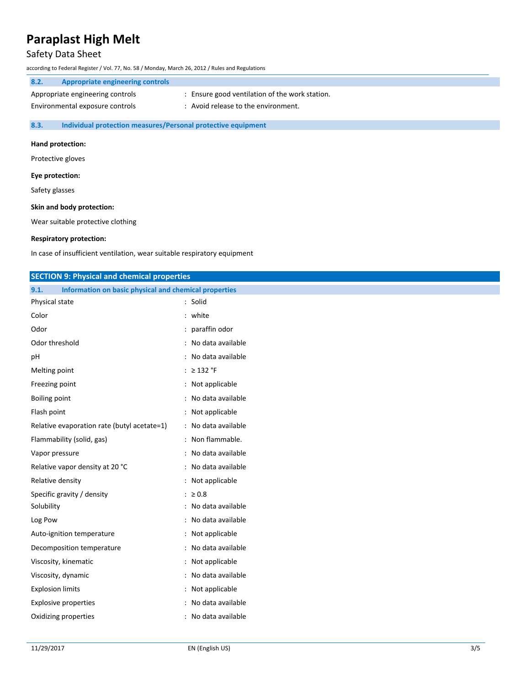### Safety Data Sheet

according to Federal Register / Vol. 77, No. 58 / Monday, March 26, 2012 / Rules and Regulations

| 8.2. | Appropriate engineering controls |                                              |
|------|----------------------------------|----------------------------------------------|
|      | Appropriate engineering controls | Ensure good ventilation of the work station. |
|      | Environmental exposure controls  | : Avoid release to the environment.          |

**8.3. Individual protection measures/Personal protective equipment**

#### **Hand protection:**

Protective gloves

### **Eye protection:**

Safety glasses

### **Skin and body protection:**

Wear suitable protective clothing

### **Respiratory protection:**

In case of insufficient ventilation, wear suitable respiratory equipment

| <b>SECTION 9: Physical and chemical properties</b>            |                     |
|---------------------------------------------------------------|---------------------|
| Information on basic physical and chemical properties<br>9.1. |                     |
| Physical state                                                | : Solid             |
| Color                                                         | : white             |
| Odor                                                          | : paraffin odor     |
| Odor threshold                                                | : No data available |
| pH                                                            | : No data available |
| Melting point                                                 | : $\geq$ 132 °F     |
| Freezing point                                                | : Not applicable    |
| <b>Boiling point</b>                                          | : No data available |
| Flash point                                                   | : Not applicable    |
| Relative evaporation rate (butyl acetate=1)                   | : No data available |
| Flammability (solid, gas)                                     | : Non flammable.    |
| Vapor pressure                                                | : No data available |
| Relative vapor density at 20 °C                               | : No data available |
| Relative density                                              | : Not applicable    |
| Specific gravity / density                                    | : $\geq 0.8$        |
| Solubility                                                    | : No data available |
| Log Pow                                                       | : No data available |
| Auto-ignition temperature                                     | : Not applicable    |
| Decomposition temperature                                     | : No data available |
| Viscosity, kinematic                                          | : Not applicable    |
| Viscosity, dynamic                                            | : No data available |
| <b>Explosion limits</b>                                       | : Not applicable    |
| <b>Explosive properties</b>                                   | : No data available |
| Oxidizing properties                                          | : No data available |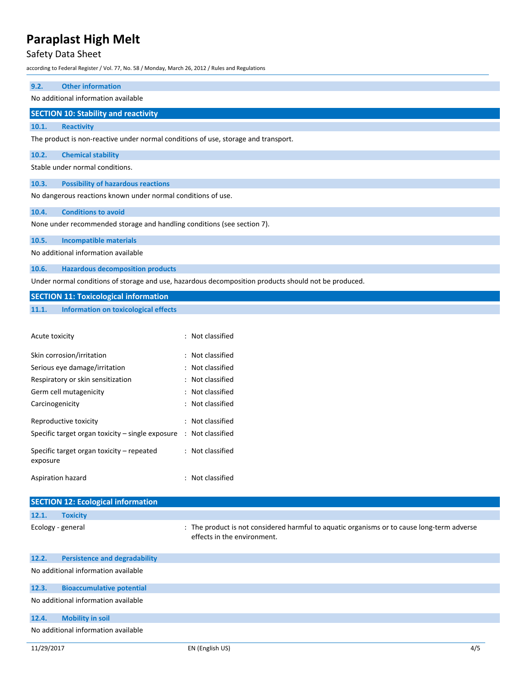### Safety Data Sheet

according to Federal Register / Vol. 77, No. 58 / Monday, March 26, 2012 / Rules and Regulations

| 9.2.                                                                    | <b>Other information</b>                                                           |  |
|-------------------------------------------------------------------------|------------------------------------------------------------------------------------|--|
| No additional information available                                     |                                                                                    |  |
|                                                                         |                                                                                    |  |
|                                                                         | <b>SECTION 10: Stability and reactivity</b>                                        |  |
| 10.1.                                                                   | <b>Reactivity</b>                                                                  |  |
|                                                                         | The product is non-reactive under normal conditions of use, storage and transport. |  |
| 10.2.                                                                   | <b>Chemical stability</b>                                                          |  |
| Stable under normal conditions.                                         |                                                                                    |  |
| 10.3.                                                                   | <b>Possibility of hazardous reactions</b>                                          |  |
| No dangerous reactions known under normal conditions of use.            |                                                                                    |  |
| 10.4.                                                                   | <b>Conditions to avoid</b>                                                         |  |
| None under recommended storage and handling conditions (see section 7). |                                                                                    |  |
| 10.5.                                                                   | <b>Incompatible materials</b>                                                      |  |
| No additional information available                                     |                                                                                    |  |
| 10.6.                                                                   | <b>Hazardous decomposition products</b>                                            |  |
|                                                                         |                                                                                    |  |

Under normal conditions of storage and use, hazardous decomposition products should not be produced.

### **SECTION 11: Toxicological information**

### **11.1. Information on toxicological effects**

| Acute toxicity                                                               | : Not classified |
|------------------------------------------------------------------------------|------------------|
| Skin corrosion/irritation                                                    | : Not classified |
| Serious eye damage/irritation                                                | : Not classified |
| Respiratory or skin sensitization                                            | : Not classified |
| Germ cell mutagenicity                                                       | : Not classified |
| Carcinogenicity                                                              | : Not classified |
| Reproductive toxicity                                                        | : Not classified |
| Specific target organ toxicity – single exposure $\therefore$ Not classified |                  |
| Specific target organ toxicity - repeated<br>exposure                        | : Not classified |
| Aspiration hazard                                                            | : Not classified |

| <b>SECTION 12: Ecological information</b> |                                      |                                                                                                                           |  |
|-------------------------------------------|--------------------------------------|---------------------------------------------------------------------------------------------------------------------------|--|
| 12.1.                                     | <b>Toxicity</b>                      |                                                                                                                           |  |
|                                           | Ecology - general                    | : The product is not considered harmful to aquatic organisms or to cause long-term adverse<br>effects in the environment. |  |
| 12.2.                                     | <b>Persistence and degradability</b> |                                                                                                                           |  |
|                                           | No additional information available  |                                                                                                                           |  |
| 12.3.                                     | <b>Bioaccumulative potential</b>     |                                                                                                                           |  |
|                                           | No additional information available  |                                                                                                                           |  |
| 12.4.                                     | <b>Mobility in soil</b>              |                                                                                                                           |  |

No additional information available